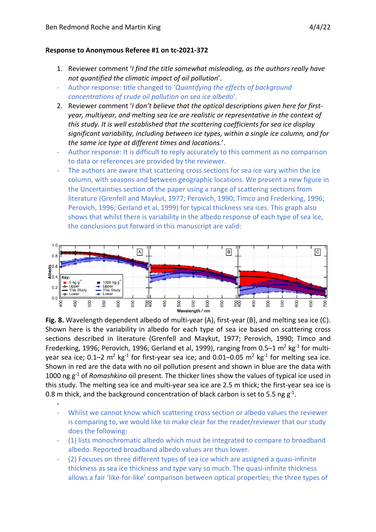- 1. Reviewer comment '*I find the title somewhat misleading, as the authors really have not quantified the climatic impact of oil pollution*'.
- Author response: title changed to '*Quantifying the effects of background concentrations of crude oil pollution on sea ice albedo*'.
- 2. Reviewer comment '*I don't believe that the optical descriptions given here for firstyear, multiyear, and melting sea ice are realistic or representative in the context of this study. It is well established that the scattering coefficients for sea ice display significant variability, including between ice types, within a single ice column, and for the same ice type at different times and locations.*'.
- Author response: It is difficult to reply accurately to this comment as no comparison to data or references are provided by the reviewer.
- The authors are aware that scattering cross sections for sea ice vary within the ice column, with seasons and between geographic locations. We present a new figure in the Uncertainties section of the paper using a range of scattering sections from literature (Grenfell and Maykut, 1977; Perovich, 1990; Timco and Frederking, 1996; Perovich, 1996; Gerland et al, 1999) for typical thickness sea ices. This graph also shows that whilst there is variability in the albedo response of each type of sea ice, the conclusions put forward in this manuscript are valid:



**Fig. 8.** Wavelength dependent albedo of multi-year (A), first-year (B), and melting sea ice (C). Shown here is the variability in albedo for each type of sea ice based on scattering cross sections described in literature (Grenfell and Maykut, 1977; Perovich, 1990; Timco and Frederking, 1996; Perovich, 1996; Gerland et al, 1999), ranging from 0.5–1  $m^2$  kg<sup>-1</sup> for multiyear sea ice;  $0.1-2$  m<sup>2</sup> kg<sup>-1</sup> for first-year sea ice; and  $0.01-0.05$  m<sup>2</sup> kg<sup>-1</sup> for melting sea ice. Shown in red are the data with no oil pollution present and shown in blue are the data with 1000 ng g-1 of *Romashkino* oil present. The thicker lines show the values of typical ice used in this study. The melting sea ice and multi-year sea ice are 2.5 m thick; the first-year sea ice is 0.8 m thick, and the background concentration of black carbon is set to 5.5 ng  $g^{-1}$ .

- - Whilst we cannot know which scattering cross section or albedo values the reviewer is comparing to, we would like to make clear for the reader/reviewer that our study does the following:
- (1) lists monochromatic albedo which must be integrated to compare to broadband albedo. Reported broadband albedo values are thus lower.
- (2) Focuses on three different types of sea ice which are assigned a quasi-infinite thickness as sea ice thickness and type vary so much. The quasi-infinite thickness allows a fair 'like-for-like' comparison between optical properties; the three types of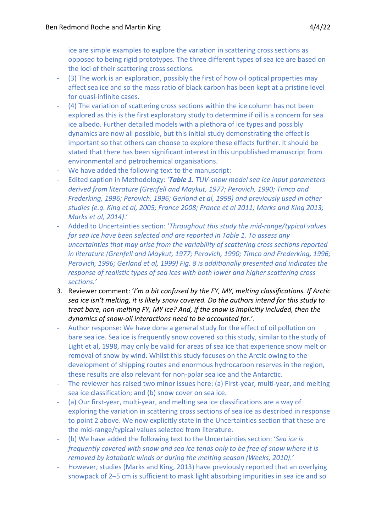ice are simple examples to explore the variation in scattering cross sections as opposed to being rigid prototypes. The three different types of sea ice are based on the loci of their scattering cross sections.

- (3) The work is an exploration, possibly the first of how oil optical properties may affect sea ice and so the mass ratio of black carbon has been kept at a pristine level for quasi-infinite cases.
- (4) The variation of scattering cross sections within the ice column has not been explored as this is the first exploratory study to determine if oil is a concern for sea ice albedo. Further detailed models with a plethora of ice types and possibly dynamics are now all possible, but this initial study demonstrating the effect is important so that others can choose to explore these effects further. It should be stated that there has been significant interest in this unpublished manuscript from environmental and petrochemical organisations.
- We have added the following text to the manuscript:
- Edited caption in Methodology: '*Table 1. TUV-snow model sea ice input parameters derived from literature (Grenfell and Maykut, 1977; Perovich, 1990; Timco and Frederking, 1996; Perovich, 1996; Gerland et al, 1999) and previously used in other studies (e.g. King et al, 2005; France 2008; France et al 2011; Marks and King 2013; Marks et al, 2014)*.'
- Added to Uncertainties section: '*Throughout this study the mid-range/typical values for sea ice have been selected and are reported in Table 1. To assess any uncertainties that may arise from the variability of scattering cross sections reported in literature (Grenfell and Maykut, 1977; Perovich, 1990; Timco and Frederking, 1996; Perovich, 1996; Gerland et al, 1999) Fig. 8 is additionally presented and indicates the response of realistic types of sea ices with both lower and higher scattering cross sections.'*
- 3. Reviewer comment: '*I'm a bit confused by the FY, MY, melting classifications. If Arctic sea ice isn't melting, it is likely snow covered. Do the authors intend for this study to treat bare, non-melting FY, MY ice? And, if the snow is implicitly included, then the dynamics of snow-oil interactions need to be accounted for.*'.
- Author response: We have done a general study for the effect of oil pollution on bare sea ice. Sea ice is frequently snow covered so this study, similar to the study of Light et al, 1998, may only be valid for areas of sea ice that experience snow melt or removal of snow by wind. Whilst this study focuses on the Arctic owing to the development of shipping routes and enormous hydrocarbon reserves in the region, these results are also relevant for non-polar sea ice and the Antarctic.
- The reviewer has raised two minor issues here: (a) First-year, multi-year, and melting sea ice classification; and (b) snow cover on sea ice.
- (a) Our first-year, multi-year, and melting sea ice classifications are a way of exploring the variation in scattering cross sections of sea ice as described in response to point 2 above. We now explicitly state in the Uncertainties section that these are the mid-range/typical values selected from literature.
- (b) We have added the following text to the Uncertainties section: '*Sea ice is frequently covered with snow and sea ice tends only to be free of snow where it is removed by katabatic winds or during the melting season (Weeks, 2010)*.*'*
- However, studies (Marks and King, 2013) have previously reported that an overlying snowpack of 2–5 cm is sufficient to mask light absorbing impurities in sea ice and so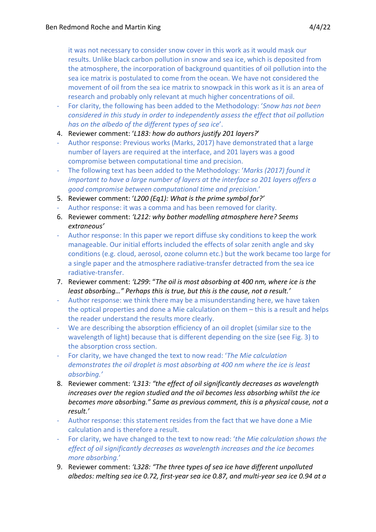it was not necessary to consider snow cover in this work as it would mask our results. Unlike black carbon pollution in snow and sea ice, which is deposited from the atmosphere, the incorporation of background quantities of oil pollution into the sea ice matrix is postulated to come from the ocean. We have not considered the movement of oil from the sea ice matrix to snowpack in this work as it is an area of research and probably only relevant at much higher concentrations of oil.

- For clarity, the following has been added to the Methodology: '*Snow has not been considered in this study in order to independently assess the effect that oil pollution has on the albedo of the different types of sea ice*'.
- 4. Reviewer comment: '*L183: how do authors justify 201 layers?*'
- Author response: Previous works (Marks, 2017) have demonstrated that a large number of layers are required at the interface, and 201 layers was a good compromise between computational time and precision.
- The following text has been added to the Methodology: '*Marks (2017) found it important to have a large number of layers at the interface so 201 layers offers a good compromise between computational time and precision.*'
- 5. Reviewer comment: '*L200 (Eq1): What is the prime symbol for?'*
- Author response: it was a comma and has been removed for clarity.
- 6. Reviewer comment: *'L212: why bother modelling atmosphere here? Seems extraneous'*
- Author response: In this paper we report diffuse sky conditions to keep the work manageable. Our initial efforts included the effects of solar zenith angle and sky conditions (e.g. cloud, aerosol, ozone column etc.) but the work became too large for a single paper and the atmosphere radiative-transfer detracted from the sea ice radiative-transfer.
- 7. Reviewer comment: *'L299*: "*The oil is most absorbing at 400 nm, where ice is the least absorbing…" Perhaps this is true, but this is the cause, not a result.'*
- Author response: we think there may be a misunderstanding here, we have taken the optical properties and done a Mie calculation on them – this is a result and helps the reader understand the results more clearly.
- We are describing the absorption efficiency of an oil droplet (similar size to the wavelength of light) because that is different depending on the size (see Fig. 3) to the absorption cross section.
- For clarity, we have changed the text to now read: '*The Mie calculation demonstrates the oil droplet is most absorbing at 400 nm where the ice is least absorbing.'*
- 8. Reviewer comment: *'L313: "the effect of oil significantly decreases as wavelength increases over the region studied and the oil becomes less absorbing whilst the ice becomes more absorbing." Same as previous comment, this is a physical cause, not a result.'*
- Author response: this statement resides from the fact that we have done a Mie calculation and is therefore a result.
- For clarity, we have changed to the text to now read: '*the Mie calculation shows the effect of oil significantly decreases as wavelength increases and the ice becomes more absorbing.*'
- 9. Reviewer comment: *'L328: "The three types of sea ice have different unpolluted albedos: melting sea ice 0.72, first-year sea ice 0.87, and multi-year sea ice 0.94 at a*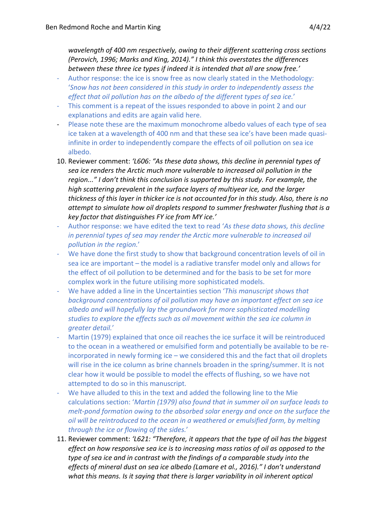*wavelength of 400 nm respectively, owing to their different scattering cross sections (Perovich, 1996; Marks and King, 2014)." I think this overstates the differences between these three ice types if indeed it is intended that all are snow free.'*

- Author response: the ice is snow free as now clearly stated in the Methodology: '*Snow has not been considered in this study in order to independently assess the effect that oil pollution has on the albedo of the different types of sea ice.*'
- This comment is a repeat of the issues responded to above in point 2 and our explanations and edits are again valid here.
- Please note these are the maximum monochrome albedo values of each type of sea ice taken at a wavelength of 400 nm and that these sea ice's have been made quasiinfinite in order to independently compare the effects of oil pollution on sea ice albedo.
- 10. Reviewer comment: *'L606: "As these data shows, this decline in perennial types of sea ice renders the Arctic much more vulnerable to increased oil pollution in the region..." I don't think this conclusion is supported by this study. For example, the high scattering prevalent in the surface layers of multiyear ice, and the larger thickness of this layer in thicker ice is not accounted for in this study. Also, there is no attempt to simulate how oil droplets respond to summer freshwater flushing that is a key factor that distinguishes FY ice from MY ice.'*
- Author response: we have edited the text to read '*As these data shows, this decline in perennial types of sea may render the Arctic more vulnerable to increased oil pollution in the region.*'
- We have done the first study to show that background concentration levels of oil in sea ice are important – the model is a radiative transfer model only and allows for the effect of oil pollution to be determined and for the basis to be set for more complex work in the future utilising more sophisticated models.
- We have added a line in the Uncertainties section '*This manuscript shows that background concentrations of oil pollution may have an important effect on sea ice albedo and will hopefully lay the groundwork for more sophisticated modelling studies to explore the effects such as oil movement within the sea ice column in greater detail.*'
- Martin (1979) explained that once oil reaches the ice surface it will be reintroduced to the ocean in a weathered or emulsified form and potentially be available to be reincorporated in newly forming ice – we considered this and the fact that oil droplets will rise in the ice column as brine channels broaden in the spring/summer. It is not clear how it would be possible to model the effects of flushing, so we have not attempted to do so in this manuscript.
- We have alluded to this in the text and added the following line to the Mie calculations section: '*Martin (1979) also found that in summer oil on surface leads to melt-pond formation owing to the absorbed solar energy and once on the surface the oil will be reintroduced to the ocean in a weathered or emulsified form, by melting through the ice or flowing of the sides.*'
- 11. Reviewer comment: *'L621: "Therefore, it appears that the type of oil has the biggest effect on how responsive sea ice is to increasing mass ratios of oil as opposed to the type of sea ice and in contrast with the findings of a comparable study into the effects of mineral dust on sea ice albedo (Lamare et al., 2016)." I don't understand what this means. Is it saying that there is larger variability in oil inherent optical*